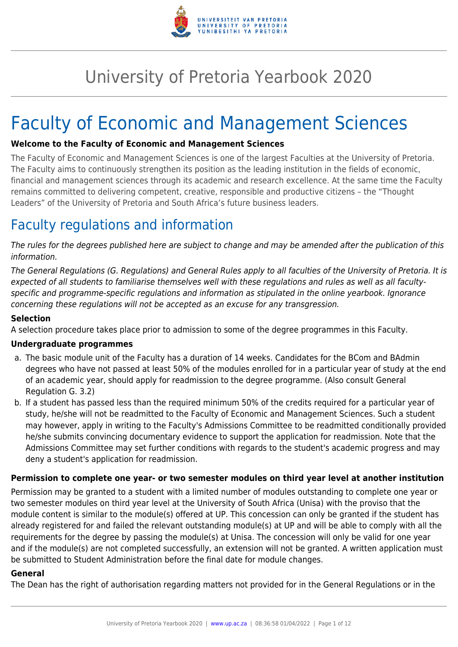

# University of Pretoria Yearbook 2020

# Faculty of Economic and Management Sciences

## **Welcome to the Faculty of Economic and Management Sciences**

The Faculty of Economic and Management Sciences is one of the largest Faculties at the University of Pretoria. The Faculty aims to continuously strengthen its position as the leading institution in the fields of economic, financial and management sciences through its academic and research excellence. At the same time the Faculty remains committed to delivering competent, creative, responsible and productive citizens – the "Thought Leaders" of the University of Pretoria and South Africa's future business leaders.

# Faculty regulations and information

The rules for the degrees published here are subject to change and may be amended after the publication of this information.

The General Regulations (G. Regulations) and General Rules apply to all faculties of the University of Pretoria. It is expected of all students to familiarise themselves well with these regulations and rules as well as all facultyspecific and programme-specific regulations and information as stipulated in the online yearbook. Ignorance concerning these regulations will not be accepted as an excuse for any transgression.

## **Selection**

A selection procedure takes place prior to admission to some of the degree programmes in this Faculty.

#### **Undergraduate programmes**

- a. The basic module unit of the Faculty has a duration of 14 weeks. Candidates for the BCom and BAdmin degrees who have not passed at least 50% of the modules enrolled for in a particular year of study at the end of an academic year, should apply for readmission to the degree programme. (Also consult General Regulation G. 3.2)
- b. If a student has passed less than the required minimum 50% of the credits required for a particular year of study, he/she will not be readmitted to the Faculty of Economic and Management Sciences. Such a student may however, apply in writing to the Faculty's Admissions Committee to be readmitted conditionally provided he/she submits convincing documentary evidence to support the application for readmission. Note that the Admissions Committee may set further conditions with regards to the student's academic progress and may deny a student's application for readmission.

#### **Permission to complete one year- or two semester modules on third year level at another institution**

Permission may be granted to a student with a limited number of modules outstanding to complete one year or two semester modules on third year level at the University of South Africa (Unisa) with the proviso that the module content is similar to the module(s) offered at UP. This concession can only be granted if the student has already registered for and failed the relevant outstanding module(s) at UP and will be able to comply with all the requirements for the degree by passing the module(s) at Unisa. The concession will only be valid for one year and if the module(s) are not completed successfully, an extension will not be granted. A written application must be submitted to Student Administration before the final date for module changes.

#### **General**

The Dean has the right of authorisation regarding matters not provided for in the General Regulations or in the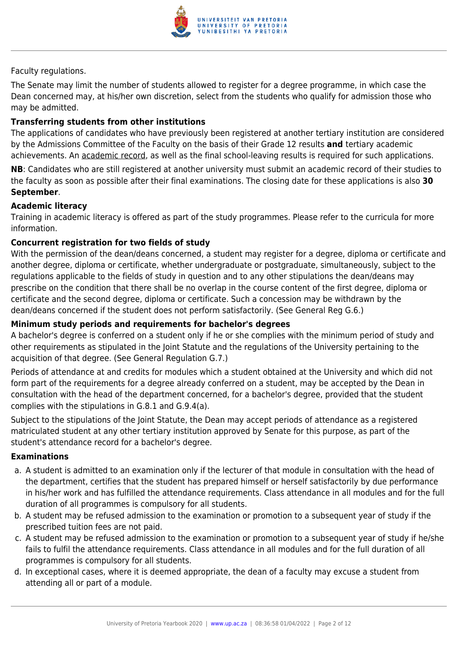

## Faculty regulations.

The Senate may limit the number of students allowed to register for a degree programme, in which case the Dean concerned may, at his/her own discretion, select from the students who qualify for admission those who may be admitted.

## **Transferring students from other institutions**

The applications of candidates who have previously been registered at another tertiary institution are considered by the Admissions Committee of the Faculty on the basis of their Grade 12 results **and** tertiary academic achievements. An academic record, as well as the final school-leaving results is required for such applications.

**NB**: Candidates who are still registered at another university must submit an academic record of their studies to the faculty as soon as possible after their final examinations. The closing date for these applications is also **30 September**.

#### **Academic literacy**

Training in academic literacy is offered as part of the study programmes. Please refer to the curricula for more information.

## **Concurrent registration for two fields of study**

With the permission of the dean/deans concerned, a student may register for a degree, diploma or certificate and another degree, diploma or certificate, whether undergraduate or postgraduate, simultaneously, subject to the regulations applicable to the fields of study in question and to any other stipulations the dean/deans may prescribe on the condition that there shall be no overlap in the course content of the first degree, diploma or certificate and the second degree, diploma or certificate. Such a concession may be withdrawn by the dean/deans concerned if the student does not perform satisfactorily. (See General Reg G.6.)

## **Minimum study periods and requirements for bachelor's degrees**

A bachelor's degree is conferred on a student only if he or she complies with the minimum period of study and other requirements as stipulated in the Joint Statute and the regulations of the University pertaining to the acquisition of that degree. (See General Regulation G.7.)

Periods of attendance at and credits for modules which a student obtained at the University and which did not form part of the requirements for a degree already conferred on a student, may be accepted by the Dean in consultation with the head of the department concerned, for a bachelor's degree, provided that the student complies with the stipulations in G.8.1 and G.9.4(a).

Subject to the stipulations of the Joint Statute, the Dean may accept periods of attendance as a registered matriculated student at any other tertiary institution approved by Senate for this purpose, as part of the student's attendance record for a bachelor's degree.

#### **Examinations**

- a. A student is admitted to an examination only if the lecturer of that module in consultation with the head of the department, certifies that the student has prepared himself or herself satisfactorily by due performance in his/her work and has fulfilled the attendance requirements. Class attendance in all modules and for the full duration of all programmes is compulsory for all students.
- b. A student may be refused admission to the examination or promotion to a subsequent year of study if the prescribed tuition fees are not paid.
- c. A student may be refused admission to the examination or promotion to a subsequent year of study if he/she fails to fulfil the attendance requirements. Class attendance in all modules and for the full duration of all programmes is compulsory for all students.
- d. In exceptional cases, where it is deemed appropriate, the dean of a faculty may excuse a student from attending all or part of a module.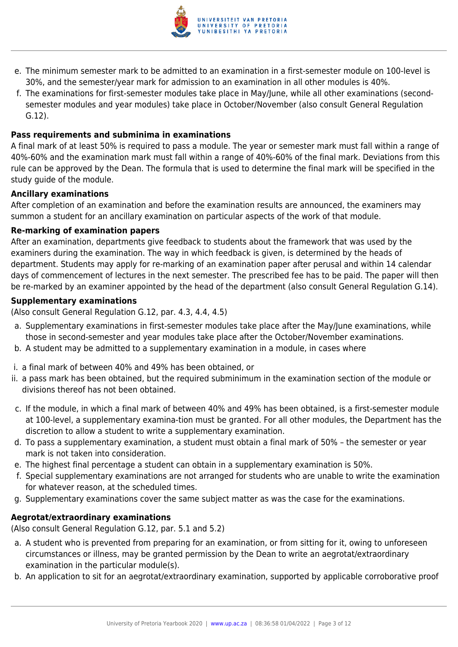

- e. The minimum semester mark to be admitted to an examination in a first-semester module on 100-level is 30%, and the semester/year mark for admission to an examination in all other modules is 40%.
- f. The examinations for first-semester modules take place in May/June, while all other examinations (secondsemester modules and year modules) take place in October/November (also consult General Regulation G.12).

#### **Pass requirements and subminima in examinations**

A final mark of at least 50% is required to pass a module. The year or semester mark must fall within a range of 40%-60% and the examination mark must fall within a range of 40%-60% of the final mark. Deviations from this rule can be approved by the Dean. The formula that is used to determine the final mark will be specified in the study guide of the module.

#### **Ancillary examinations**

After completion of an examination and before the examination results are announced, the examiners may summon a student for an ancillary examination on particular aspects of the work of that module.

#### **Re-marking of examination papers**

After an examination, departments give feedback to students about the framework that was used by the examiners during the examination. The way in which feedback is given, is determined by the heads of department. Students may apply for re-marking of an examination paper after perusal and within 14 calendar days of commencement of lectures in the next semester. The prescribed fee has to be paid. The paper will then be re-marked by an examiner appointed by the head of the department (also consult General Regulation G.14).

#### **Supplementary examinations**

(Also consult General Regulation G.12, par. 4.3, 4.4, 4.5)

- a. Supplementary examinations in first-semester modules take place after the May/June examinations, while those in second-semester and year modules take place after the October/November examinations.
- b. A student may be admitted to a supplementary examination in a module, in cases where
- i. a final mark of between 40% and 49% has been obtained, or
- ii. a pass mark has been obtained, but the required subminimum in the examination section of the module or divisions thereof has not been obtained.
- c. If the module, in which a final mark of between 40% and 49% has been obtained, is a first-semester module at 100-level, a supplementary examina-tion must be granted. For all other modules, the Department has the discretion to allow a student to write a supplementary examination.
- d. To pass a supplementary examination, a student must obtain a final mark of 50% the semester or year mark is not taken into consideration.
- e. The highest final percentage a student can obtain in a supplementary examination is 50%.
- f. Special supplementary examinations are not arranged for students who are unable to write the examination for whatever reason, at the scheduled times.
- g. Supplementary examinations cover the same subject matter as was the case for the examinations.

#### **Aegrotat/extraordinary examinations**

(Also consult General Regulation G.12, par. 5.1 and 5.2)

- a. A student who is prevented from preparing for an examination, or from sitting for it, owing to unforeseen circumstances or illness, may be granted permission by the Dean to write an aegrotat/extraordinary examination in the particular module(s).
- b. An application to sit for an aegrotat/extraordinary examination, supported by applicable corroborative proof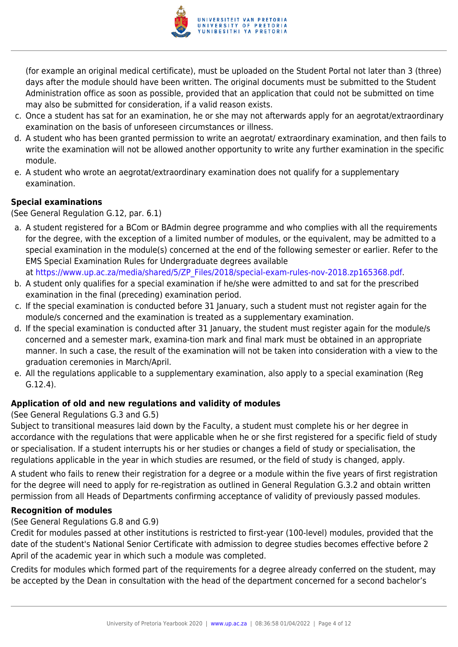

(for example an original medical certificate), must be uploaded on the Student Portal not later than 3 (three) days after the module should have been written. The original documents must be submitted to the Student Administration office as soon as possible, provided that an application that could not be submitted on time may also be submitted for consideration, if a valid reason exists.

- c. Once a student has sat for an examination, he or she may not afterwards apply for an aegrotat/extraordinary examination on the basis of unforeseen circumstances or illness.
- d. A student who has been granted permission to write an aegrotat/ extraordinary examination, and then fails to write the examination will not be allowed another opportunity to write any further examination in the specific module.
- e. A student who wrote an aegrotat/extraordinary examination does not qualify for a supplementary examination.

## **Special examinations**

(See General Regulation G.12, par. 6.1)

a. A student registered for a BCom or BAdmin degree programme and who complies with all the requirements for the degree, with the exception of a limited number of modules, or the equivalent, may be admitted to a special examination in the module(s) concerned at the end of the following semester or earlier. Refer to the EMS Special Examination Rules for Undergraduate degrees available

at [https://www.up.ac.za/media/shared/5/ZP\\_Files/2018/special-exam-rules-nov-2018.zp165368.pdf.](https://www.up.ac.za/media/shared/5/ZP_Files/2018/special-exam-rules-nov-2018.zp165368.pdf)

- b. A student only qualifies for a special examination if he/she were admitted to and sat for the prescribed examination in the final (preceding) examination period.
- c. If the special examination is conducted before 31 January, such a student must not register again for the module/s concerned and the examination is treated as a supplementary examination.
- d. If the special examination is conducted after 31 January, the student must register again for the module/s concerned and a semester mark, examina-tion mark and final mark must be obtained in an appropriate manner. In such a case, the result of the examination will not be taken into consideration with a view to the graduation ceremonies in March/April.
- e. All the regulations applicable to a supplementary examination, also apply to a special examination (Reg G.12.4).

# **Application of old and new regulations and validity of modules**

(See General Regulations G.3 and G.5)

Subject to transitional measures laid down by the Faculty, a student must complete his or her degree in accordance with the regulations that were applicable when he or she first registered for a specific field of study or specialisation. If a student interrupts his or her studies or changes a field of study or specialisation, the regulations applicable in the year in which studies are resumed, or the field of study is changed, apply.

A student who fails to renew their registration for a degree or a module within the five years of first registration for the degree will need to apply for re-registration as outlined in General Regulation G.3.2 and obtain written permission from all Heads of Departments confirming acceptance of validity of previously passed modules.

#### **Recognition of modules**

(See General Regulations G.8 and G.9)

Credit for modules passed at other institutions is restricted to first-year (100-level) modules, provided that the date of the student's National Senior Certificate with admission to degree studies becomes effective before 2 April of the academic year in which such a module was completed.

Credits for modules which formed part of the requirements for a degree already conferred on the student, may be accepted by the Dean in consultation with the head of the department concerned for a second bachelor's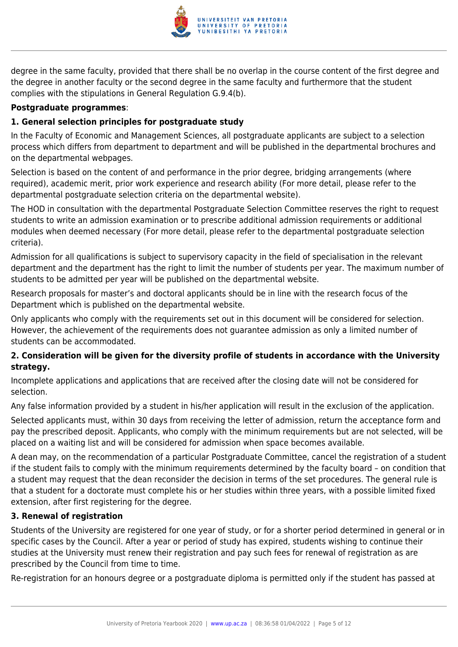

degree in the same faculty, provided that there shall be no overlap in the course content of the first degree and the degree in another faculty or the second degree in the same faculty and furthermore that the student complies with the stipulations in General Regulation G.9.4(b).

#### **Postgraduate programmes**:

# **1. General selection principles for postgraduate study**

In the Faculty of Economic and Management Sciences, all postgraduate applicants are subject to a selection process which differs from department to department and will be published in the departmental brochures and on the departmental webpages.

Selection is based on the content of and performance in the prior degree, bridging arrangements (where required), academic merit, prior work experience and research ability (For more detail, please refer to the departmental postgraduate selection criteria on the departmental website).

The HOD in consultation with the departmental Postgraduate Selection Committee reserves the right to request students to write an admission examination or to prescribe additional admission requirements or additional modules when deemed necessary (For more detail, please refer to the departmental postgraduate selection criteria).

Admission for all qualifications is subject to supervisory capacity in the field of specialisation in the relevant department and the department has the right to limit the number of students per year. The maximum number of students to be admitted per year will be published on the departmental website.

Research proposals for master's and doctoral applicants should be in line with the research focus of the Department which is published on the departmental website.

Only applicants who comply with the requirements set out in this document will be considered for selection. However, the achievement of the requirements does not guarantee admission as only a limited number of students can be accommodated.

# **2. Consideration will be given for the diversity profile of students in accordance with the University strategy.**

Incomplete applications and applications that are received after the closing date will not be considered for selection.

Any false information provided by a student in his/her application will result in the exclusion of the application.

Selected applicants must, within 30 days from receiving the letter of admission, return the acceptance form and pay the prescribed deposit. Applicants, who comply with the minimum requirements but are not selected, will be placed on a waiting list and will be considered for admission when space becomes available.

A dean may, on the recommendation of a particular Postgraduate Committee, cancel the registration of a student if the student fails to comply with the minimum requirements determined by the faculty board – on condition that a student may request that the dean reconsider the decision in terms of the set procedures. The general rule is that a student for a doctorate must complete his or her studies within three years, with a possible limited fixed extension, after first registering for the degree.

# **3. Renewal of registration**

Students of the University are registered for one year of study, or for a shorter period determined in general or in specific cases by the Council. After a year or period of study has expired, students wishing to continue their studies at the University must renew their registration and pay such fees for renewal of registration as are prescribed by the Council from time to time.

Re-registration for an honours degree or a postgraduate diploma is permitted only if the student has passed at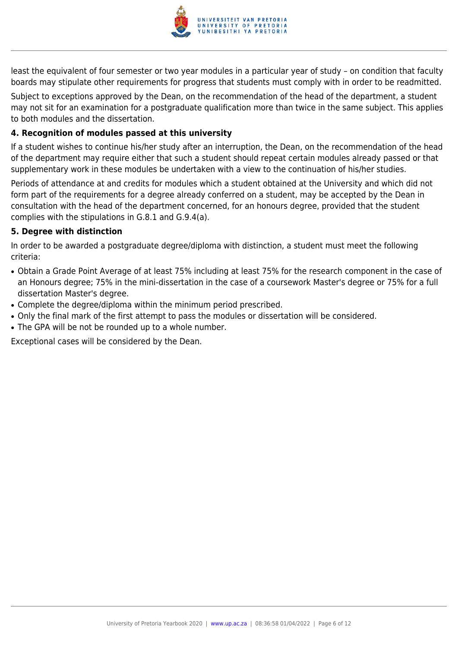

least the equivalent of four semester or two year modules in a particular year of study – on condition that faculty boards may stipulate other requirements for progress that students must comply with in order to be readmitted.

Subject to exceptions approved by the Dean, on the recommendation of the head of the department, a student may not sit for an examination for a postgraduate qualification more than twice in the same subject. This applies to both modules and the dissertation.

# **4. Recognition of modules passed at this university**

If a student wishes to continue his/her study after an interruption, the Dean, on the recommendation of the head of the department may require either that such a student should repeat certain modules already passed or that supplementary work in these modules be undertaken with a view to the continuation of his/her studies.

Periods of attendance at and credits for modules which a student obtained at the University and which did not form part of the requirements for a degree already conferred on a student, may be accepted by the Dean in consultation with the head of the department concerned, for an honours degree, provided that the student complies with the stipulations in G.8.1 and G.9.4(a).

#### **5. Degree with distinction**

In order to be awarded a postgraduate degree/diploma with distinction, a student must meet the following criteria:

- Obtain a Grade Point Average of at least 75% including at least 75% for the research component in the case of an Honours degree; 75% in the mini-dissertation in the case of a coursework Master's degree or 75% for a full dissertation Master's degree.
- Complete the degree/diploma within the minimum period prescribed.
- Only the final mark of the first attempt to pass the modules or dissertation will be considered.
- The GPA will be not be rounded up to a whole number.

Exceptional cases will be considered by the Dean.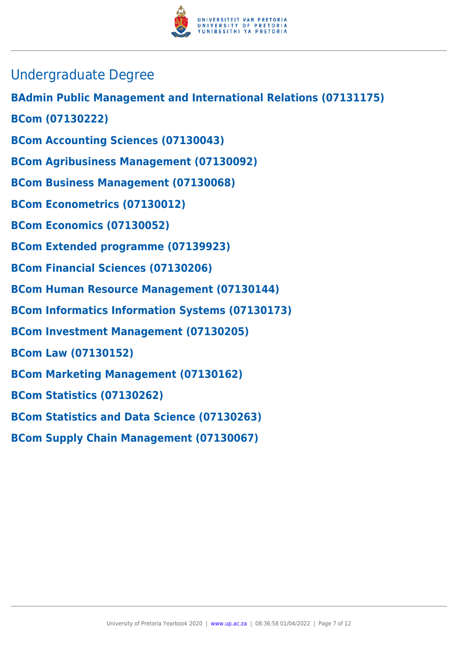

- Undergraduate Degree
- **BAdmin Public Management and International Relations (07131175)**
- **BCom (07130222)**
- **BCom Accounting Sciences (07130043)**
- **BCom Agribusiness Management (07130092)**
- **BCom Business Management (07130068)**
- **BCom Econometrics (07130012)**
- **BCom Economics (07130052)**
- **BCom Extended programme (07139923)**
- **BCom Financial Sciences (07130206)**
- **BCom Human Resource Management (07130144)**
- **BCom Informatics Information Systems (07130173)**
- **BCom Investment Management (07130205)**
- **BCom Law (07130152)**
- **BCom Marketing Management (07130162)**
- **BCom Statistics (07130262)**
- **BCom Statistics and Data Science (07130263)**
- **BCom Supply Chain Management (07130067)**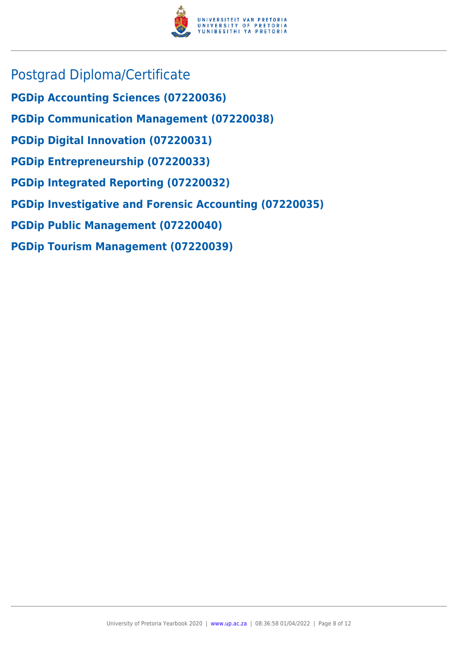

- Postgrad Diploma/Certificate
- **PGDip Accounting Sciences (07220036)**
- **PGDip Communication Management (07220038)**
- **PGDip Digital Innovation (07220031)**
- **PGDip Entrepreneurship (07220033)**
- **PGDip Integrated Reporting (07220032)**
- **PGDip Investigative and Forensic Accounting (07220035)**
- **PGDip Public Management (07220040)**
- **PGDip Tourism Management (07220039)**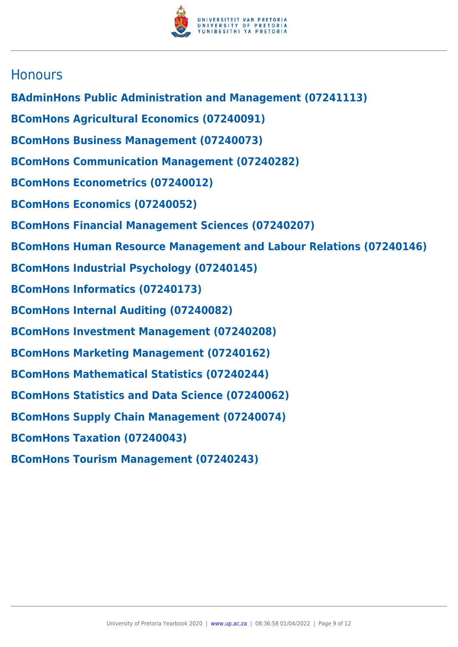

# **Honours**

- **BAdminHons Public Administration and Management (07241113)**
- **BComHons Agricultural Economics (07240091)**
- **BComHons Business Management (07240073)**
- **BComHons Communication Management (07240282)**
- **BComHons Econometrics (07240012)**
- **BComHons Economics (07240052)**
- **BComHons Financial Management Sciences (07240207)**
- **BComHons Human Resource Management and Labour Relations (07240146)**
- **BComHons Industrial Psychology (07240145)**
- **BComHons Informatics (07240173)**
- **BComHons Internal Auditing (07240082)**
- **BComHons Investment Management (07240208)**
- **BComHons Marketing Management (07240162)**
- **BComHons Mathematical Statistics (07240244)**
- **BComHons Statistics and Data Science (07240062)**
- **BComHons Supply Chain Management (07240074)**
- **BComHons Taxation (07240043)**
- **BComHons Tourism Management (07240243)**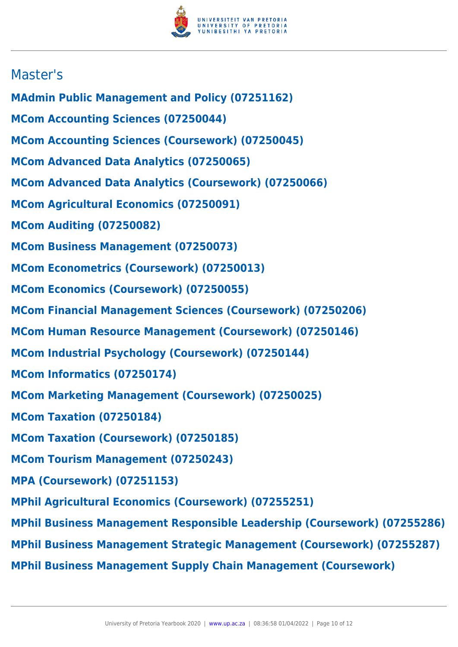

# Master's

- **MAdmin Public Management and Policy (07251162)**
- **MCom Accounting Sciences (07250044)**
- **MCom Accounting Sciences (Coursework) (07250045)**
- **MCom Advanced Data Analytics (07250065)**
- **MCom Advanced Data Analytics (Coursework) (07250066)**
- **MCom Agricultural Economics (07250091)**
- **MCom Auditing (07250082)**
- **MCom Business Management (07250073)**
- **MCom Econometrics (Coursework) (07250013)**
- **MCom Economics (Coursework) (07250055)**
- **MCom Financial Management Sciences (Coursework) (07250206)**
- **MCom Human Resource Management (Coursework) (07250146)**
- **MCom Industrial Psychology (Coursework) (07250144)**
- **MCom Informatics (07250174)**
- **MCom Marketing Management (Coursework) (07250025)**
- **MCom Taxation (07250184)**
- **MCom Taxation (Coursework) (07250185)**
- **MCom Tourism Management (07250243)**
- **MPA (Coursework) (07251153)**
- **MPhil Agricultural Economics (Coursework) (07255251)**
- **MPhil Business Management Responsible Leadership (Coursework) (07255286)**
- **MPhil Business Management Strategic Management (Coursework) (07255287)**
- **MPhil Business Management Supply Chain Management (Coursework)**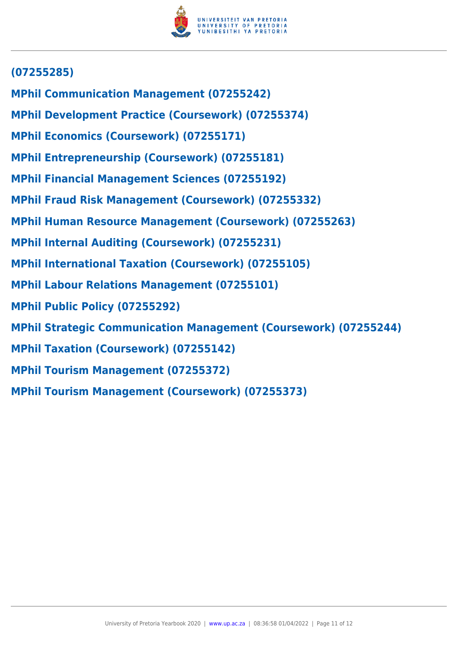

# **(07255285)**

- **MPhil Communication Management (07255242)**
- **MPhil Development Practice (Coursework) (07255374)**
- **MPhil Economics (Coursework) (07255171)**
- **MPhil Entrepreneurship (Coursework) (07255181)**
- **MPhil Financial Management Sciences (07255192)**
- **MPhil Fraud Risk Management (Coursework) (07255332)**
- **MPhil Human Resource Management (Coursework) (07255263)**
- **MPhil Internal Auditing (Coursework) (07255231)**
- **MPhil International Taxation (Coursework) (07255105)**
- **MPhil Labour Relations Management (07255101)**
- **MPhil Public Policy (07255292)**
- **MPhil Strategic Communication Management (Coursework) (07255244)**
- **MPhil Taxation (Coursework) (07255142)**
- **MPhil Tourism Management (07255372)**
- **MPhil Tourism Management (Coursework) (07255373)**